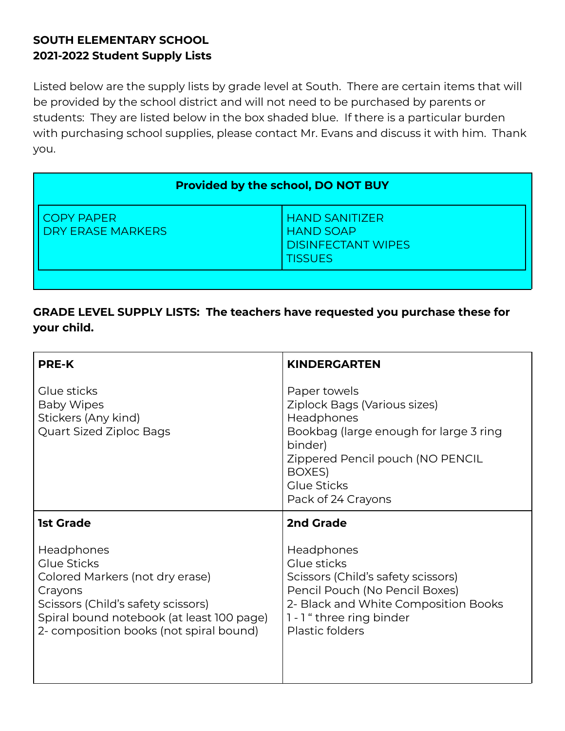## **SOUTH ELEMENTARY SCHOOL 2021-2022 Student Supply Lists**

Listed below are the supply lists by grade level at South. There are certain items that will be provided by the school district and will not need to be purchased by parents or students: They are listed below in the box shaded blue. If there is a particular burden with purchasing school supplies, please contact Mr. Evans and discuss it with him. Thank you.

| <b>Provided by the school, DO NOT BUY</b>                                                |  |  |
|------------------------------------------------------------------------------------------|--|--|
| <b>HAND SANITIZER</b><br><b>HAND SOAP</b><br><b>DISINFECTANT WIPES</b><br><b>TISSUES</b> |  |  |
|                                                                                          |  |  |

## **GRADE LEVEL SUPPLY LISTS: The teachers have requested you purchase these for your child.**

| <b>PRE-K</b>                                                                                                                                                                                          | <b>KINDERGARTEN</b>                                                                                                                                                                                       |
|-------------------------------------------------------------------------------------------------------------------------------------------------------------------------------------------------------|-----------------------------------------------------------------------------------------------------------------------------------------------------------------------------------------------------------|
| Glue sticks<br><b>Baby Wipes</b><br>Stickers (Any kind)<br>Quart Sized Ziploc Bags                                                                                                                    | Paper towels<br>Ziplock Bags (Various sizes)<br>Headphones<br>Bookbag (large enough for large 3 ring<br>binder)<br>Zippered Pencil pouch (NO PENCIL<br>BOXES)<br><b>Glue Sticks</b><br>Pack of 24 Crayons |
| <b>1st Grade</b>                                                                                                                                                                                      | 2nd Grade                                                                                                                                                                                                 |
| Headphones<br>Glue Sticks<br>Colored Markers (not dry erase)<br>Crayons<br>Scissors (Child's safety scissors)<br>Spiral bound notebook (at least 100 page)<br>2- composition books (not spiral bound) | <b>Headphones</b><br>Glue sticks<br>Scissors (Child's safety scissors)<br>Pencil Pouch (No Pencil Boxes)<br>2- Black and White Composition Books<br>1 - 1 " three ring binder<br>Plastic folders          |